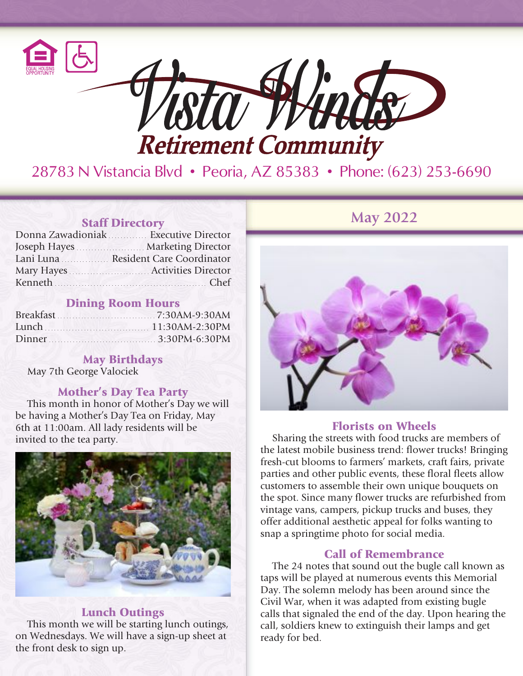

28783 N Vistancia Blvd • Peoria, AZ 85383 • Phone: (623) 253-6690

| Donna Zawadioniak Executive Director |
|--------------------------------------|
| Joseph Hayes Marketing Director      |
| Lani Luna Resident Care Coordinator  |
| Mary Hayes Activities Director       |
| Kenneth Chef                         |

## Dining Room Hours

| Lunch 11:30AM-2:30PM |  |
|----------------------|--|
| Dinner 3:30PM-6:30PM |  |

# May Birthdays

May 7th George Valociek

#### Mother's Day Tea Party

This month in honor of Mother's Day we will be having a Mother's Day Tea on Friday, May 6th at 11:00am. All lady residents will be invited to the tea party.



#### Lunch Outings

This month we will be starting lunch outings, on Wednesdays. We will have a sign-up sheet at the front desk to sign up.

**May** 2022



#### Florists on Wheels

Sharing the streets with food trucks are members of the latest mobile business trend: flower trucks! Bringing fresh-cut blooms to farmers' markets, craft fairs, private parties and other public events, these floral fleets allow customers to assemble their own unique bouquets on the spot. Since many flower trucks are refurbished from vintage vans, campers, pickup trucks and buses, they offer additional aesthetic appeal for folks wanting to snap a springtime photo for social media.

### Call of Remembrance

The 24 notes that sound out the bugle call known as taps will be played at numerous events this Memorial Day. The solemn melody has been around since the Civil War, when it was adapted from existing bugle calls that signaled the end of the day. Upon hearing the call, soldiers knew to extinguish their lamps and get ready for bed.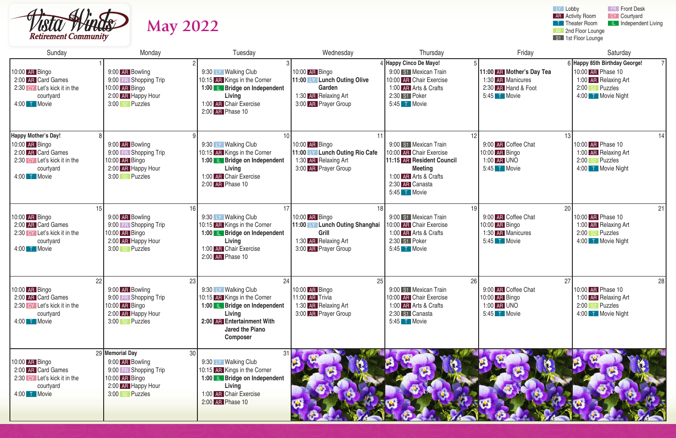

| <b>Retirement Community</b>                                                                                                     | <b>May 2022</b>                                                                                                              |                                                                                                                                                                                        |                                                                                                                 |                                                                                                                                                             |                                                                                       | LY Lobby<br><b>FR</b> Front Desk<br>CY Courtyard<br><b>AR</b> Activity Room<br><b>T</b> Theater Room<br><b>IL</b> Independent Living<br>2nd Floor Lounge<br>S1 1st Floor Lounge |
|---------------------------------------------------------------------------------------------------------------------------------|------------------------------------------------------------------------------------------------------------------------------|----------------------------------------------------------------------------------------------------------------------------------------------------------------------------------------|-----------------------------------------------------------------------------------------------------------------|-------------------------------------------------------------------------------------------------------------------------------------------------------------|---------------------------------------------------------------------------------------|---------------------------------------------------------------------------------------------------------------------------------------------------------------------------------|
| Sunday                                                                                                                          | Monday                                                                                                                       | Tuesday                                                                                                                                                                                | Wednesday                                                                                                       | Thursday                                                                                                                                                    | Friday                                                                                | Saturday                                                                                                                                                                        |
| 10:00 AR Bingo<br>2:00 AR Card Games<br>2:30 CY Let's kick it in the<br>courtyard<br>4:00 T Movie                               | 9:00 AR Bowling<br>9:00 FR Shopping Trip<br>10:00 AR Bingo<br>2:00 AR Happy Hour<br>3:00 s2 Puzzles                          | 9:30 LY Walking Club<br>10:15 AR Kings in the Corner<br>1:00 <b>L</b> Bridge on Independent<br>Living<br>1:00 AR Chair Exercise<br>2:00 AR Phase 10                                    | 10:00 AR Bingo<br>11:00 LY Lunch Outing Olive<br>Garden<br>1:30 AR Relaxing Art<br>3:00 AR Prayer Group         | 4 Happy Cinco De Mayo!<br>9:00 S1 Mexican Train<br>10:00 AR Chair Exercise<br>1:00 AR Arts & Crafts<br>2:30 S1 Poker<br>$5:45$ T Movie                      | 11:00 AR Mother's Day Tea<br>1:30 AR Manicures<br>2:30 AR Hand & Foot<br>5:45 T Movie | 6 Happy 85th Birthday George!<br>10:00 AR Phase 10<br>1:00 AR Relaxing Art<br>2:00 s2 Puzzles<br>4:00 T Movie Night                                                             |
| <b>Happy Mother's Day!</b><br>10:00 AR Bingo<br>2:00 AR Card Games<br>2:30 CY Let's kick it in the<br>courtyard<br>4:00 T Movie | 9:00 AR Bowling<br>9:00 FR Shopping Trip<br>10:00 AR Bingo<br>2:00 AR Happy Hour<br>3:00 s2 Puzzles                          | 9:30 LY Walking Club<br>10:15 AR Kings in the Corner<br>1:00 <b>IL Bridge on Independent</b><br>Living<br>1:00 AR Chair Exercise<br>2:00 AR Phase 10                                   | 11<br>10:00 AR Bingo<br>11:00 LY Lunch Outing Rio Cafe<br>1:30 AR Relaxing Art<br>3:00 AR Prayer Group          | 9:00 S1 Mexican Train<br>10:00 AR Chair Exercise<br>11:15 AR Resident Council<br><b>Meeting</b><br>1:00 AR Arts & Crafts<br>2:30 AR Canasta<br>5:45 T Movie | 9:00 AR Coffee Chat<br>10:00 AR Bingo<br>1:00 AR UNO<br>5:45 T Movie                  | 13<br>10:00 AR Phase 10<br>1:00 AR Relaxing Art<br>2:00 s2 Puzzles<br>4:00 T Movie Night                                                                                        |
| 10:00 AR Bingo<br>2:00 AR Card Games<br>2:30 CY Let's kick it in the<br>courtyard<br>4:00 T Movie                               | 16<br>9:00 AR Bowling<br>9:00 FR Shopping Trip<br>10:00 AR Bingo<br>2:00 AR Happy Hour<br>3:00<br>S <sub>2</sub> Puzzles     | 9:30 LY Walking Club<br>10:15 AR Kings in the Corner<br>1:00 <b>L</b> Bridge on Independent<br>Living<br>1:00 AR Chair Exercise<br>2:00 AR Phase 10                                    | 18<br>10:00 AR Bingo<br>11:00 LY Lunch Outing Shanghai<br>Grill<br>1:30 AR Relaxing Art<br>3:00 AR Prayer Group | 19<br>9:00 S1 Mexican Train<br>10:00 AR Chair Exercise<br>1:00 AR Arts & Crafts<br>2:30 S1 Poker<br>$5:45$ T Movie                                          | 9:00 AR Coffee Chat<br>10:00 AR Bingo<br>1:30 AR Manicures<br>5:45 T Movie            | 20<br>21<br>10:00 AR Phase 10<br>1:00 AR Relaxing Art<br>2:00 s <sup>2</sup> Puzzles<br>4:00 T Movie Night                                                                      |
| 22<br>10:00 AR Bingo<br>2:00 AR Card Games<br>2:30 CY Let's kick it in the<br>courtyard<br>4:00 T Movie                         | 23<br>9:00 AR Bowling<br>9:00 FR Shopping Trip<br>10:00 AR Bingo<br>2:00 AR Happy Hour<br>3:00 s <sup>2</sup> Puzzles        | 24<br>9:30 LY Walking Club<br>10:15 AR Kings in the Corner<br>1:00 <b>L</b> Bridge on Independent<br>Living<br>2:00 AR Entertainment With<br><b>Jared the Piano</b><br><b>Composer</b> | 25<br>10:00 AR Bingo<br>11:00 AR Trivia<br>1:30 AR Relaxing Art<br>3:00 AR Prayer Group                         | 26<br>9:00 S1 Mexican Train<br>10:00 AR Chair Exercise<br>1:00 AR Arts & Crafts<br>2:30 S1 Canasta<br>$5:45$ T Movie                                        | 9:00 AR Coffee Chat<br>10:00 AR Bingo<br>1:00 AR UNO<br>5:45 T Movie                  | 27<br>28<br>10:00 AR Phase 10<br>1:00 AR Relaxing Art<br>2:00 s2 Puzzles<br>4:00 T Movie Night                                                                                  |
| 10:00 AR Bingo<br>2:00 AR Card Games<br>2:30 CY Let's kick it in the<br>courtyard<br>4:00 T Movie                               | 29 Memorial Day<br>30<br>9:00 AR Bowling<br>9:00 FR Shopping Trip<br>10:00 AR Bingo<br>2:00 AR Happy Hour<br>3:00 s2 Puzzles | 9:30 LY Walking Club<br>10:15 AR Kings in the Corner<br>1:00 <b>IL Bridge on Independent</b><br>Living<br>1:00 AR Chair Exercise<br>2:00 AR Phase 10                                   |                                                                                                                 |                                                                                                                                                             |                                                                                       |                                                                                                                                                                                 |